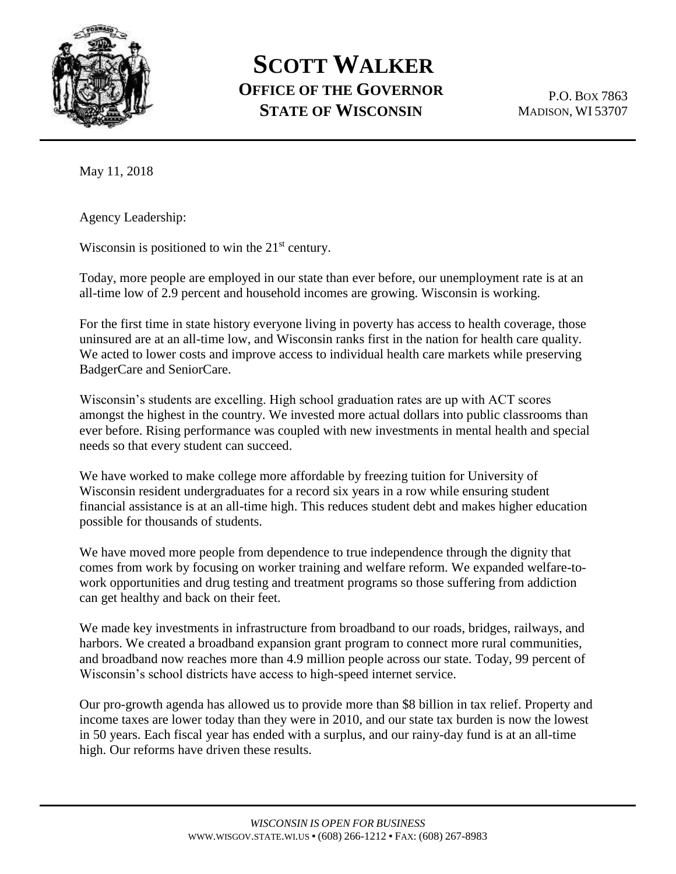

## **SCOTT WALKER OFFICE OF THE GOVERNOR STATE OF WISCONSIN**

P.O. BOX 7863 MADISON, WI 53707

May 11, 2018

Agency Leadership:

Wisconsin is positioned to win the  $21<sup>st</sup>$  century.

Today, more people are employed in our state than ever before, our unemployment rate is at an all-time low of 2.9 percent and household incomes are growing. Wisconsin is working.

For the first time in state history everyone living in poverty has access to health coverage, those uninsured are at an all-time low, and Wisconsin ranks first in the nation for health care quality. We acted to lower costs and improve access to individual health care markets while preserving BadgerCare and SeniorCare.

Wisconsin's students are excelling. High school graduation rates are up with ACT scores amongst the highest in the country. We invested more actual dollars into public classrooms than ever before. Rising performance was coupled with new investments in mental health and special needs so that every student can succeed.

We have worked to make college more affordable by freezing tuition for University of Wisconsin resident undergraduates for a record six years in a row while ensuring student financial assistance is at an all-time high. This reduces student debt and makes higher education possible for thousands of students.

We have moved more people from dependence to true independence through the dignity that comes from work by focusing on worker training and welfare reform. We expanded welfare-towork opportunities and drug testing and treatment programs so those suffering from addiction can get healthy and back on their feet.

We made key investments in infrastructure from broadband to our roads, bridges, railways, and harbors. We created a broadband expansion grant program to connect more rural communities, and broadband now reaches more than 4.9 million people across our state. Today, 99 percent of Wisconsin's school districts have access to high-speed internet service.

Our pro-growth agenda has allowed us to provide more than \$8 billion in tax relief. Property and income taxes are lower today than they were in 2010, and our state tax burden is now the lowest in 50 years. Each fiscal year has ended with a surplus, and our rainy-day fund is at an all-time high. Our reforms have driven these results.